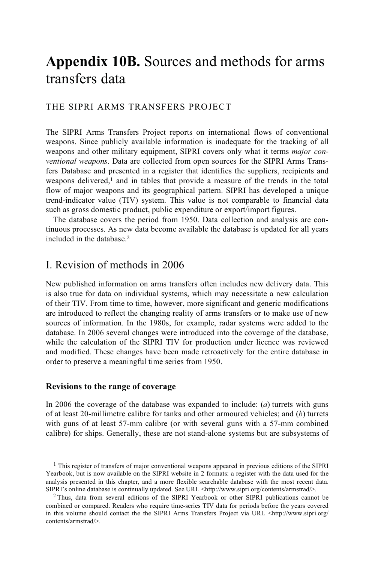# **Appendix 10B.** Sources and methods for arms transfers data

## THE SIPRI ARMS TRANSFERS PROJECT

The SIPRI Arms Transfers Project reports on international flows of conventional weapons. Since publicly available information is inadequate for the tracking of all weapons and other military equipment, SIPRI covers only what it terms *major conventional weapons*. Data are collected from open sources for the SIPRI Arms Transfers Database and presented in a register that identifies the suppliers, recipients and weapons delivered, $<sup>1</sup>$  and in tables that provide a measure of the trends in the total</sup> flow of major weapons and its geographical pattern. SIPRI has developed a unique trend-indicator value (TIV) system. This value is not comparable to financial data such as gross domestic product, public expenditure or export/import figures.

The database covers the period from 1950. Data collection and analysis are continuous processes. As new data become available the database is updated for all years included in the database.2

## I. Revision of methods in 2006

New published information on arms transfers often includes new delivery data. This is also true for data on individual systems, which may necessitate a new calculation of their TIV. From time to time, however, more significant and generic modifications are introduced to reflect the changing reality of arms transfers or to make use of new sources of information. In the 1980s, for example, radar systems were added to the database. In 2006 several changes were introduced into the coverage of the database, while the calculation of the SIPRI TIV for production under licence was reviewed and modified. These changes have been made retroactively for the entire database in order to preserve a meaningful time series from 1950.

#### **Revisions to the range of coverage**

In 2006 the coverage of the database was expanded to include: (*a*) turrets with guns of at least 20-millimetre calibre for tanks and other armoured vehicles; and (*b*) turrets with guns of at least 57-mm calibre (or with several guns with a 57-mm combined calibre) for ships. Generally, these are not stand-alone systems but are subsystems of

<sup>&</sup>lt;sup>1</sup> This register of transfers of major conventional weapons appeared in previous editions of the SIPRI Yearbook, but is now available on the SIPRI website in 2 formats: a register with the data used for the analysis presented in this chapter, and a more flexible searchable database with the most recent data. SIPRI's online database is continually updated. See URL <http://www.sipri.org/contents/armstrad/>. 2 Thus, data from several editions of the SIPRI Yearbook or other SIPRI publications cannot be

combined or compared. Readers who require time-series TIV data for periods before the years covered in this volume should contact the the SIPRI Arms Transfers Project via URL <http://www.sipri.org/ contents/armstrad/>.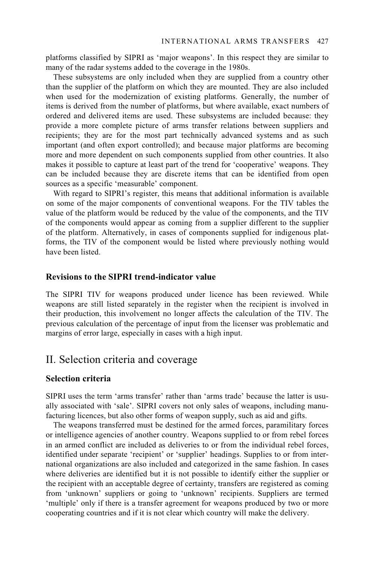platforms classified by SIPRI as 'major weapons'. In this respect they are similar to many of the radar systems added to the coverage in the 1980s.

These subsystems are only included when they are supplied from a country other than the supplier of the platform on which they are mounted. They are also included when used for the modernization of existing platforms. Generally, the number of items is derived from the number of platforms, but where available, exact numbers of ordered and delivered items are used. These subsystems are included because: they provide a more complete picture of arms transfer relations between suppliers and recipients; they are for the most part technically advanced systems and as such important (and often export controlled); and because major platforms are becoming more and more dependent on such components supplied from other countries. It also makes it possible to capture at least part of the trend for 'cooperative' weapons. They can be included because they are discrete items that can be identified from open sources as a specific 'measurable' component.

With regard to SIPRI's register, this means that additional information is available on some of the major components of conventional weapons. For the TIV tables the value of the platform would be reduced by the value of the components, and the TIV of the components would appear as coming from a supplier different to the supplier of the platform. Alternatively, in cases of components supplied for indigenous platforms, the TIV of the component would be listed where previously nothing would have been listed.

## **Revisions to the SIPRI trend-indicator value**

The SIPRI TIV for weapons produced under licence has been reviewed. While weapons are still listed separately in the register when the recipient is involved in their production, this involvement no longer affects the calculation of the TIV. The previous calculation of the percentage of input from the licenser was problematic and margins of error large, especially in cases with a high input.

# II. Selection criteria and coverage

### **Selection criteria**

SIPRI uses the term 'arms transfer' rather than 'arms trade' because the latter is usually associated with 'sale'. SIPRI covers not only sales of weapons, including manufacturing licences, but also other forms of weapon supply, such as aid and gifts.

The weapons transferred must be destined for the armed forces, paramilitary forces or intelligence agencies of another country. Weapons supplied to or from rebel forces in an armed conflict are included as deliveries to or from the individual rebel forces, identified under separate 'recipient' or 'supplier' headings. Supplies to or from international organizations are also included and categorized in the same fashion. In cases where deliveries are identified but it is not possible to identify either the supplier or the recipient with an acceptable degree of certainty, transfers are registered as coming from 'unknown' suppliers or going to 'unknown' recipients. Suppliers are termed 'multiple' only if there is a transfer agreement for weapons produced by two or more cooperating countries and if it is not clear which country will make the delivery.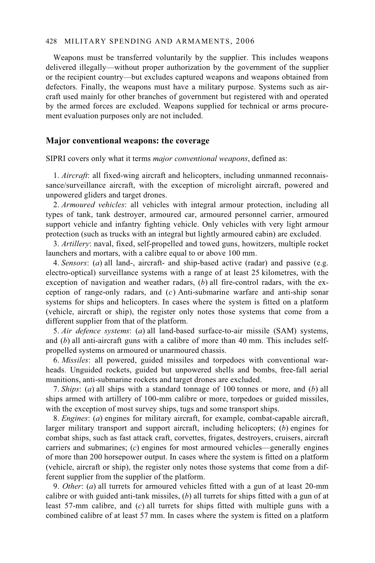#### 428 MILITARY SPENDING AND ARMAMENTS, 2006

Weapons must be transferred voluntarily by the supplier. This includes weapons delivered illegally—without proper authorization by the government of the supplier or the recipient country—but excludes captured weapons and weapons obtained from defectors. Finally, the weapons must have a military purpose. Systems such as aircraft used mainly for other branches of government but registered with and operated by the armed forces are excluded. Weapons supplied for technical or arms procurement evaluation purposes only are not included.

#### **Major conventional weapons: the coverage**

SIPRI covers only what it terms *major conventional weapons*, defined as:

1. *Aircraft*: all fixed-wing aircraft and helicopters, including unmanned reconnaissance/surveillance aircraft, with the exception of microlight aircraft, powered and unpowered gliders and target drones.

2. *Armoured vehicles*: all vehicles with integral armour protection, including all types of tank, tank destroyer, armoured car, armoured personnel carrier, armoured support vehicle and infantry fighting vehicle. Only vehicles with very light armour protection (such as trucks with an integral but lightly armoured cabin) are excluded.

3. *Artillery*: naval, fixed, self-propelled and towed guns, howitzers, multiple rocket launchers and mortars, with a calibre equal to or above 100 mm.

4. *Sensors*: (*a*) all land-, aircraft- and ship-based active (radar) and passive (e.g. electro-optical) surveillance systems with a range of at least 25 kilometres, with the exception of navigation and weather radars, (*b*) all fire-control radars, with the exception of range-only radars, and (*c*) Anti-submarine warfare and anti-ship sonar systems for ships and helicopters. In cases where the system is fitted on a platform (vehicle, aircraft or ship), the register only notes those systems that come from a different supplier from that of the platform.

5. *Air defence systems*: (*a*) all land-based surface-to-air missile (SAM) systems, and (*b*) all anti-aircraft guns with a calibre of more than 40 mm. This includes selfpropelled systems on armoured or unarmoured chassis.

6. *Missiles*: all powered, guided missiles and torpedoes with conventional warheads. Unguided rockets, guided but unpowered shells and bombs, free-fall aerial munitions, anti-submarine rockets and target drones are excluded.

7. *Ships*: (*a*) all ships with a standard tonnage of 100 tonnes or more, and (*b*) all ships armed with artillery of 100-mm calibre or more, torpedoes or guided missiles, with the exception of most survey ships, tugs and some transport ships.

8. *Engines*: (*a*) engines for military aircraft, for example, combat-capable aircraft, larger military transport and support aircraft, including helicopters; (*b*) engines for combat ships, such as fast attack craft, corvettes, frigates, destroyers, cruisers, aircraft carriers and submarines; (*c*) engines for most armoured vehicles—generally engines of more than 200 horsepower output. In cases where the system is fitted on a platform (vehicle, aircraft or ship), the register only notes those systems that come from a different supplier from the supplier of the platform.

9. *Other*: (*a*) all turrets for armoured vehicles fitted with a gun of at least 20-mm calibre or with guided anti-tank missiles, (*b*) all turrets for ships fitted with a gun of at least 57-mm calibre, and (*c*) all turrets for ships fitted with multiple guns with a combined calibre of at least 57 mm. In cases where the system is fitted on a platform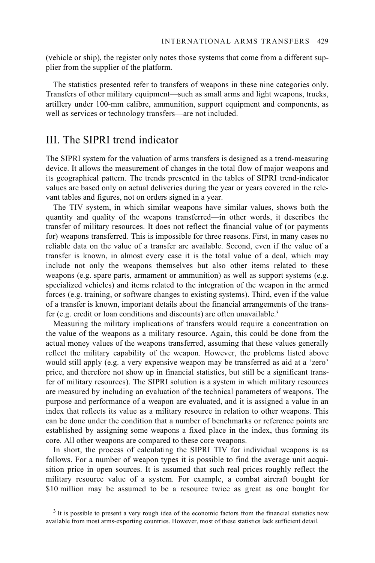(vehicle or ship), the register only notes those systems that come from a different supplier from the supplier of the platform.

The statistics presented refer to transfers of weapons in these nine categories only. Transfers of other military equipment—such as small arms and light weapons, trucks, artillery under 100-mm calibre, ammunition, support equipment and components, as well as services or technology transfers—are not included.

## III. The SIPRI trend indicator

The SIPRI system for the valuation of arms transfers is designed as a trend-measuring device. It allows the measurement of changes in the total flow of major weapons and its geographical pattern. The trends presented in the tables of SIPRI trend-indicator values are based only on actual deliveries during the year or years covered in the relevant tables and figures, not on orders signed in a year.

The TIV system, in which similar weapons have similar values, shows both the quantity and quality of the weapons transferred—in other words, it describes the transfer of military resources. It does not reflect the financial value of (or payments for) weapons transferred. This is impossible for three reasons. First, in many cases no reliable data on the value of a transfer are available. Second, even if the value of a transfer is known, in almost every case it is the total value of a deal, which may include not only the weapons themselves but also other items related to these weapons (e.g. spare parts, armament or ammunition) as well as support systems (e.g. specialized vehicles) and items related to the integration of the weapon in the armed forces (e.g. training, or software changes to existing systems). Third, even if the value of a transfer is known, important details about the financial arrangements of the transfer (e.g. credit or loan conditions and discounts) are often unavailable.3

Measuring the military implications of transfers would require a concentration on the value of the weapons as a military resource. Again, this could be done from the actual money values of the weapons transferred, assuming that these values generally reflect the military capability of the weapon. However, the problems listed above would still apply (e.g. a very expensive weapon may be transferred as aid at a 'zero' price, and therefore not show up in financial statistics, but still be a significant transfer of military resources). The SIPRI solution is a system in which military resources are measured by including an evaluation of the technical parameters of weapons. The purpose and performance of a weapon are evaluated, and it is assigned a value in an index that reflects its value as a military resource in relation to other weapons. This can be done under the condition that a number of benchmarks or reference points are established by assigning some weapons a fixed place in the index, thus forming its core. All other weapons are compared to these core weapons.

In short, the process of calculating the SIPRI TIV for individual weapons is as follows. For a number of weapon types it is possible to find the average unit acquisition price in open sources. It is assumed that such real prices roughly reflect the military resource value of a system. For example, a combat aircraft bought for \$10 million may be assumed to be a resource twice as great as one bought for

<sup>&</sup>lt;sup>3</sup> It is possible to present a very rough idea of the economic factors from the financial statistics now available from most arms-exporting countries. However, most of these statistics lack sufficient detail.